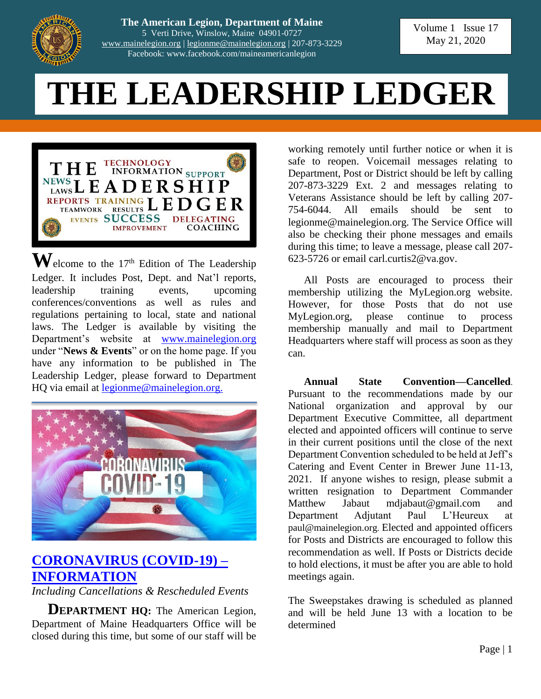

**The American Legion, Department of Maine** 5 Verti Drive, Winslow, Maine 04901-0727 [www.mainelegion.org](http://www.mainelegion.org/) | [legionme@mainelegion.org](mailto:legionme@mainelegion.org) | 207-873-3229 Facebook: www.facebook.com/maineamericanlegion

Volume 1 Issue 17 May 21, 2020

# **THE LEADERSHIP LEDGER**



 $\mathbf{W}$ elcome to the 17<sup>th</sup> Edition of The Leadership Ledger. It includes Post, Dept. and Nat'l reports, leadership training events, upcoming conferences/conventions as well as rules and regulations pertaining to local, state and national laws. The Ledger is available by visiting the Department's website at [www.mainelegion.org](http://www.mainelegion.org/) under "**News & Events**" or on the home page. If you have any information to be published in The Leadership Ledger, please forward to Department HQ via email at [legionme@mainelegion.org.](mailto:legionme@mainelegion.org)



### **[CORONAVIRUS \(COVID-19\)](http://www.mainelegion.org/pages/news-events/covid-19-info.php) – [INFORMATION](http://www.mainelegion.org/pages/news-events/covid-19-info.php)**

*Including Cancellations & Rescheduled Events*

**DEPARTMENT HQ:** The American Legion, Department of Maine Headquarters Office will be closed during this time, but some of our staff will be

working remotely until further notice or when it is safe to reopen. Voicemail messages relating to Department, Post or District should be left by calling 207-873-3229 Ext. 2 and messages relating to Veterans Assistance should be left by calling 207- 754-6044. All emails should be sent to legionme@mainelegion.org. The Service Office will also be checking their phone messages and emails during this time; to leave a message, please call 207- 623-5726 or email carl.curtis2@va.gov.

All Posts are encouraged to process their membership utilizing the MyLegion.org website. However, for those Posts that do not use MyLegion.org, please continue to process membership manually and mail to Department Headquarters where staff will process as soon as they can.

**Annual State Convention—Cancelled**. Pursuant to the recommendations made by our National organization and approval by our Department Executive Committee, all department elected and appointed officers will continue to serve in their current positions until the close of the next Department Convention scheduled to be held at Jeff's Catering and Event Center in Brewer June 11-13, 2021. If anyone wishes to resign, please submit a written resignation to Department Commander Matthew Jabaut mdjabaut@gmail.com and Department Adjutant Paul L'Heureux at paul@mainelegion.org. Elected and appointed officers for Posts and Districts are encouraged to follow this recommendation as well. If Posts or Districts decide to hold elections, it must be after you are able to hold meetings again.

The Sweepstakes drawing is scheduled as planned and will be held June 13 with a location to be determined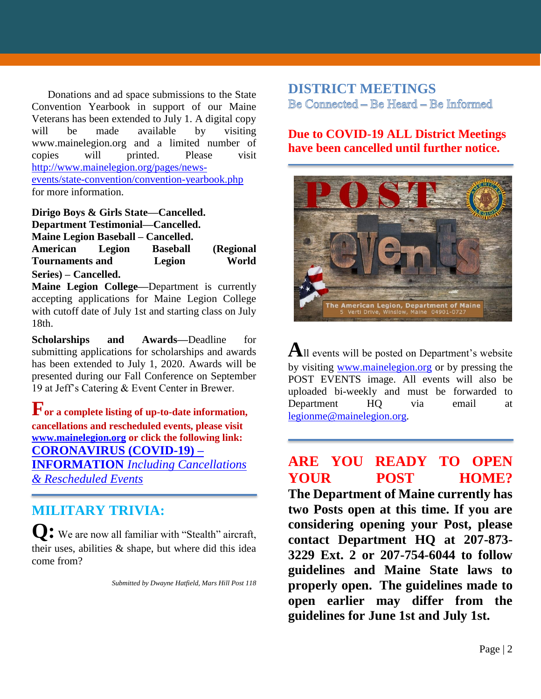Donations and ad space submissions to the State Convention Yearbook in support of our Maine Veterans has been extended to July 1. A digital copy will be made available by visiting www.mainelegion.org and a limited number of copies will printed. Please visit [http://www.mainelegion.org/pages/news](http://www.mainelegion.org/pages/news-events/state-convention/convention-yearbook.php)[events/state-convention/convention-yearbook.php](http://www.mainelegion.org/pages/news-events/state-convention/convention-yearbook.php) for more information.

**Dirigo Boys & Girls State—Cancelled. Department Testimonial—Cancelled. Maine Legion Baseball – Cancelled. American Legion Baseball (Regional Tournaments and Legion World Series) – Cancelled.**

**Maine Legion College—**Department is currently accepting applications for Maine Legion College with cutoff date of July 1st and starting class on July 18th.

**Scholarships and Awards—**Deadline for submitting applications for scholarships and awards has been extended to July 1, 2020. Awards will be presented during our Fall Conference on September 19 at Jeff's Catering & Event Center in Brewer.

**For a complete listing of up-to-date information, cancellations and rescheduled events, please visit [www.mainelegion.org](http://www.mainelegion.org/) or click the following link: [CORONAVIRUS \(COVID-19\) –](http://www.mainelegion.org/pages/news-events/covid-19-info.php) INFORMATION** *[Including Cancellations](http://www.mainelegion.org/pages/news-events/covid-19-info.php)  [& Rescheduled Events](http://www.mainelegion.org/pages/news-events/covid-19-info.php)*

### **MILITARY TRIVIA:**

**Q:** We are now all familiar with "Stealth" aircraft, their uses, abilities & shape, but where did this idea come from?

*Submitted by Dwayne Hatfield, Mars Hill Post 118*

#### **DISTRICT MEETINGS** Be Connected - Be Heard - Be Informed

#### **Due to COVID-19 ALL District Meetings have been cancelled until further notice.**



**A**ll events will be posted on Department's website by visiting [www.mainelegion.org](http://www.mainelegion.org/) or by pressing the POST EVENTS image. All events will also be uploaded bi-weekly and must be forwarded to Department HQ via email at [legionme@mainelegion.org.](mailto:legionme@mainelegion.org)

### **ARE YOU READY TO OPEN YOUR POST HOME?**

**The Department of Maine currently has two Posts open at this time. If you are considering opening your Post, please contact Department HQ at 207-873- 3229 Ext. 2 or 207-754-6044 to follow guidelines and Maine State laws to properly open. The guidelines made to open earlier may differ from the guidelines for June 1st and July 1st.**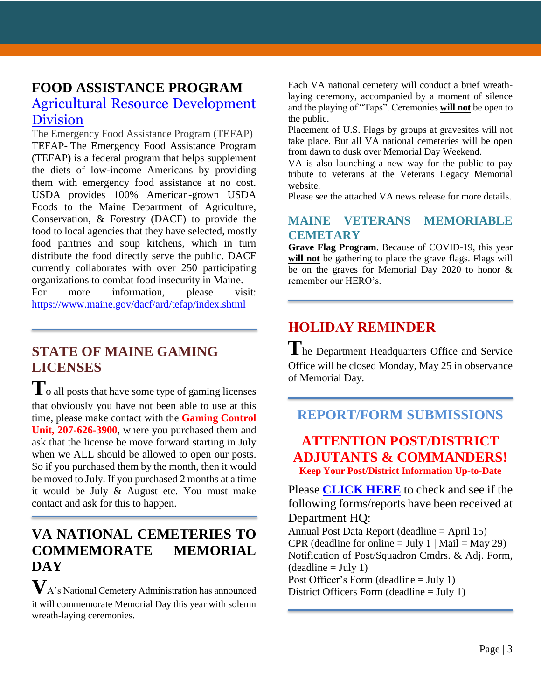### **FOOD ASSISTANCE PROGRAM** [Agricultural Resource Development](https://www.maine.gov/dacf/ard/tefap/index.shtml)  [Division](https://www.maine.gov/dacf/ard/tefap/index.shtml)

The Emergency Food Assistance Program (TEFAP) TEFAP- The Emergency Food Assistance Program (TEFAP) is a federal program that helps supplement the diets of low-income Americans by providing them with emergency food assistance at no cost. USDA provides 100% American-grown USDA Foods to the Maine Department of Agriculture, Conservation, & Forestry (DACF) to provide the food to local agencies that they have selected, mostly food pantries and soup kitchens, which in turn distribute the food directly serve the public. DACF currently collaborates with over 250 participating organizations to combat food insecurity in Maine.

For more information, please visit: <https://www.maine.gov/dacf/ard/tefap/index.shtml>

### **STATE OF MAINE GAMING LICENSES**

 $T_0$  all posts that have some type of gaming licenses that obviously you have not been able to use at this time, please make contact with the **Gaming Control Unit, 207-626-3900**, where you purchased them and ask that the license be move forward starting in July when we ALL should be allowed to open our posts. So if you purchased them by the month, then it would be moved to July. If you purchased 2 months at a time it would be July & August etc. You must make contact and ask for this to happen.

### **VA NATIONAL CEMETERIES TO COMMEMORATE MEMORIAL DAY**

**V**A's National Cemetery Administration has announced it will commemorate Memorial Day this year with solemn wreath-laying ceremonies.

Each VA national cemetery will conduct a brief wreathlaying ceremony, accompanied by a moment of silence and the playing of "Taps". Ceremonies **will not** be open to the public.

Placement of U.S. Flags by groups at gravesites will not take place. But all VA national cemeteries will be open from dawn to dusk over Memorial Day Weekend.

VA is also launching a new way for the public to pay tribute to veterans at the Veterans Legacy Memorial website.

Please see the attached VA news release for more details.

#### **MAINE VETERANS MEMORIABLE CEMETARY**

**Grave Flag Program**. Because of COVID-19, this year will not be gathering to place the grave flags. Flags will be on the graves for Memorial Day 2020 to honor & remember our HERO's.

## **HOLIDAY REMINDER**

**T**he Department Headquarters Office and Service Office will be closed Monday, May 25 in observance of Memorial Day.

### **REPORT/FORM SUBMISSIONS**

#### **ATTENTION POST/DISTRICT ADJUTANTS & COMMANDERS! Keep Your Post/District Information Up-to-Date**

Please **[CLICK HERE](http://www.mainelegion.org/media/DIRECTORY_CALENDAR/EXCEL_POST_FORMS.pdf)** to check and see if the following forms/reports have been received at Department HQ:

Annual Post Data Report (deadline = April 15) CPR (deadline for online  $=$  July 1 | Mail  $=$  May 29) Notification of Post/Squadron Cmdrs. & Adj. Form,  $(deadline = July 1)$ Post Officer's Form (deadline = July 1) District Officers Form (deadline = July 1)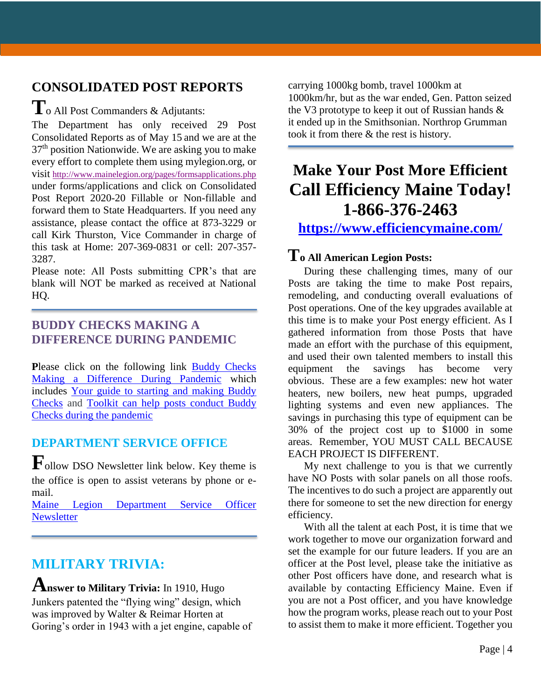### **CONSOLIDATED POST REPORTS T**o All Post Commanders & Adjutants:

The Department has only received 29 Post Consolidated Reports as of May 15 and we are at the 37th position Nationwide. We are asking you to make every effort to complete them using mylegion.org, or visit <http://www.mainelegion.org/pages/formsapplications.php> under forms/applications and click on Consolidated Post Report 2020-20 Fillable or Non-fillable and forward them to State Headquarters. If you need any assistance, please contact the office at 873-3229 or call Kirk Thurston, Vice Commander in charge of this task at Home: 207-369-0831 or cell: 207-357- 3287.

Please note: All Posts submitting CPR's that are blank will NOT be marked as received at National HQ.

#### **BUDDY CHECKS MAKING A DIFFERENCE DURING PANDEMIC**

Please click on the following link Buddy Checks [Making a Difference During Pandemic](https://editor.legionemail.com/vo/?FileID=92a4f0e0-b642-4e44-adcc-173407caded1&m=82d0e11f-f596-41f0-a960-9e19840f46df&MailID=39372314&listid=84772&RecipientID=19142040036) which includes [Your guide to starting and making Buddy](https://www.legion.org/membership/248690/your-guide-starting-and-making-buddy-checks)  [Checks](https://www.legion.org/membership/248690/your-guide-starting-and-making-buddy-checks) and [Toolkit can help posts conduct Buddy](https://www.legion.org/membership/248657/toolkit-can-help-posts-conduct-buddy-checks-during-pandemic)  [Checks during the pandemic](https://www.legion.org/membership/248657/toolkit-can-help-posts-conduct-buddy-checks-during-pandemic)

### **DEPARTMENT SERVICE OFFICE**

**F**ollow DSO Newsletter link below. Key theme is the office is open to assist veterans by phone or email.

[Maine Legion Department Service Officer](http://www.mainelegion.org/media/LEADERSHIP_LEDGER/202005_DSO_Newsletter.pdf)  **[Newsletter](http://www.mainelegion.org/media/LEADERSHIP_LEDGER/202005_DSO_Newsletter.pdf)** 

### **MILITARY TRIVIA:**

**Answer to Military Trivia:** In 1910, Hugo Junkers patented the "flying wing" design, which was improved by Walter & Reimar Horten at Goring's order in 1943 with a jet engine, capable of

carrying 1000kg bomb, travel 1000km at 1000km/hr, but as the war ended, Gen. Patton seized the V3 prototype to keep it out of Russian hands & it ended up in the Smithsonian. Northrop Grumman took it from there & the rest is history.

### **Make Your Post More Efficient Call Efficiency Maine Today! 1-866-376-2463**

**<https://www.efficiencymaine.com/>**

### **To All American Legion Posts:**

During these challenging times, many of our Posts are taking the time to make Post repairs, remodeling, and conducting overall evaluations of Post operations. One of the key upgrades available at this time is to make your Post energy efficient. As I gathered information from those Posts that have made an effort with the purchase of this equipment, and used their own talented members to install this equipment the savings has become very obvious. These are a few examples: new hot water heaters, new boilers, new heat pumps, upgraded lighting systems and even new appliances. The savings in purchasing this type of equipment can be 30% of the project cost up to \$1000 in some areas. Remember, YOU MUST CALL BECAUSE EACH PROJECT IS DIFFERENT.

My next challenge to you is that we currently have NO Posts with solar panels on all those roofs. The incentives to do such a project are apparently out there for someone to set the new direction for energy efficiency.

With all the talent at each Post, it is time that we work together to move our organization forward and set the example for our future leaders. If you are an officer at the Post level, please take the initiative as other Post officers have done, and research what is available by contacting Efficiency Maine. Even if you are not a Post officer, and you have knowledge how the program works, please reach out to your Post to assist them to make it more efficient. Together you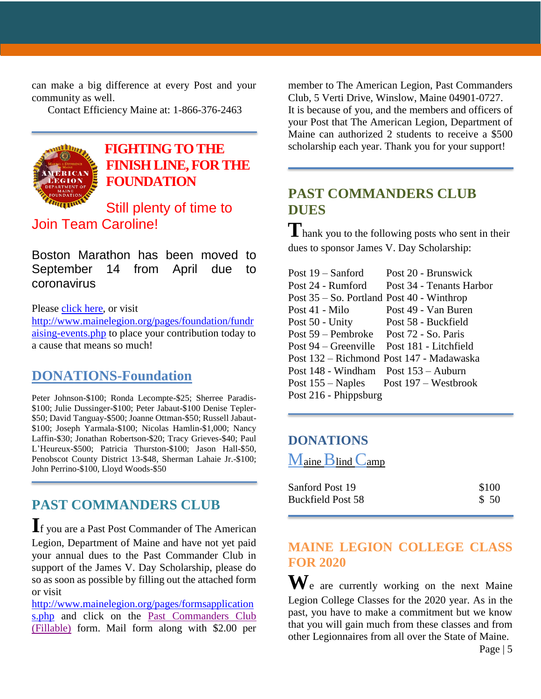can make a big difference at every Post and your community as well.

Contact Efficiency Maine at: 1-866-376-2463



### **[FIGHTING TO THE](https://www.gofundme.com/f/5hx779-a-cause-i-care-about-needs-help?utm_source=customer&utm_medium=copy_link&utm_campaign=p_cf+share-flow-1)  [FINISH LINE, FOR THE](https://www.gofundme.com/f/5hx779-a-cause-i-care-about-needs-help?utm_source=customer&utm_medium=copy_link&utm_campaign=p_cf+share-flow-1)  [FOUNDATION](https://www.gofundme.com/f/5hx779-a-cause-i-care-about-needs-help?utm_source=customer&utm_medium=copy_link&utm_campaign=p_cf+share-flow-1)**

Still plenty of time to Join Team Caroline!

Boston Marathon has been moved to September 14 from April due to coronavirus

Please [click here,](https://www.gofundme.com/f/5hx779-a-cause-i-care-about-needs-help?utm_source=customer&utm_medium=copy_link&utm_campaign=p_cf+share-flow-1) or visit

[http://www.mainelegion.org/pages/foundation/fundr](http://www.mainelegion.org/pages/foundation/fundraising-events.php) [aising-events.php](http://www.mainelegion.org/pages/foundation/fundraising-events.php) to place your contribution today to a cause that means so much!

### **DONATIONS-Foundation**

Peter Johnson-\$100; Ronda Lecompte-\$25; Sherree Paradis- \$100; Julie Dussinger-\$100; Peter Jabaut-\$100 Denise Tepler- \$50; David Tanguay-\$500; Joanne Ottman-\$50; Russell Jabaut- \$100; Joseph Yarmala-\$100; Nicolas Hamlin-\$1,000; Nancy Laffin-\$30; Jonathan Robertson-\$20; Tracy Grieves-\$40; Paul L'Heureux-\$500; Patricia Thurston-\$100; Jason Hall-\$50, Penobscot County District 13-\$48, Sherman Lahaie Jr.-\$100; John Perrino-\$100, Lloyd Woods-\$50

### **PAST COMMANDERS CLUB**

**I**f you are a Past Post Commander of The American Legion, Department of Maine and have not yet paid your annual dues to the Past Commander Club in support of the James V. Day Scholarship, please do so as soon as possible by filling out the attached form or visit

[http://www.mainelegion.org/pages/formsapplication](http://www.mainelegion.org/pages/formsapplications.php) [s.php](http://www.mainelegion.org/pages/formsapplications.php) and click on the [Past Commanders Club](http://www.mainelegion.org/media/LEADERSHIP_LEDGER/PCC_2018_FILLABLE_2.pdf)  [\(Fillable\)](http://www.mainelegion.org/media/LEADERSHIP_LEDGER/PCC_2018_FILLABLE_2.pdf) form. Mail form along with \$2.00 per

member to The American Legion, Past Commanders Club, 5 Verti Drive, Winslow, Maine 04901-0727. It is because of you, and the members and officers of your Post that The American Legion, Department of Maine can authorized 2 students to receive a \$500 scholarship each year. Thank you for your support!

### **PAST COMMANDERS CLUB DUES**

**T** hank you to the following posts who sent in their dues to sponsor James V. Day Scholarship:

| Post 24 - Rumford<br>Post 34 - Tenants Harbor            |  |
|----------------------------------------------------------|--|
| Post $35 -$ So. Portland Post 40 - Winthrop              |  |
| Post 49 - Van Buren<br>Post 41 - Milo                    |  |
| Post 50 - Unity<br>Post 58 - Buckfield                   |  |
| Post 59 – Pembroke Post 72 - So. Paris                   |  |
| Post 94 – Greenville Post 181 - Litchfield               |  |
| Post 132 – Richmond Post 147 - Madawaska                 |  |
| Post $148$ - Windham Post $153$ – Auburn                 |  |
| Post $155 - \text{Naples}$ Post $197 - \text{Westbrook}$ |  |
| Post 216 - Phippsburg                                    |  |

#### **DONATIONS**

Maine Blind Camp

| Sanford Post 19          | \$100 |  |
|--------------------------|-------|--|
| <b>Buckfield Post 58</b> | \$50  |  |

### **MAINE LEGION COLLEGE CLASS FOR 2020**

**W**e are currently working on the next Maine Legion College Classes for the 2020 year. As in the past, you have to make a commitment but we know that you will gain much from these classes and from other Legionnaires from all over the State of Maine.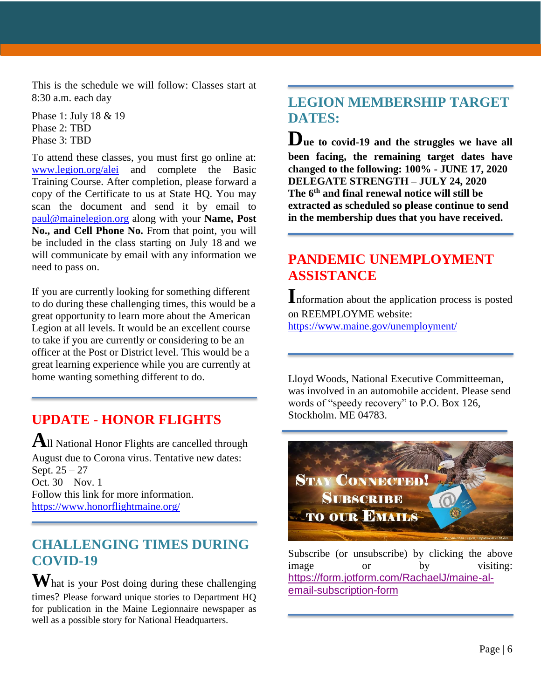This is the schedule we will follow: Classes start at 8:30 a.m. each day

Phase 1: July 18 & 19 Phase 2: TBD Phase 3: TBD

To attend these classes, you must first go online at: [www.legion.org/alei](http://www.legion.org/alei) and complete the Basic Training Course. After completion, please forward a copy of the Certificate to us at State HQ. You may scan the document and send it by email to [paul@mainelegion.org](mailto:paul@mainelegion.org) along with your **Name, Post** No., and Cell Phone No. From that point, you will be included in the class starting on July 18 and we will communicate by email with any information we need to pass on.

If you are currently looking for something different to do during these challenging times, this would be a great opportunity to learn more about the American Legion at all levels. It would be an excellent course to take if you are currently or considering to be an officer at the Post or District level. This would be a great learning experience while you are currently at home wanting something different to do.

### **UPDATE - HONOR FLIGHTS**

**A**ll National Honor Flights are cancelled through August due to Corona virus. Tentative new dates: Sept. 25 – 27 Oct. 30 – Nov. 1 Follow this link for more information. <https://www.honorflightmaine.org/>

### **CHALLENGING TIMES DURING COVID-19**

**W**hat is your Post doing during these challenging times? Please forward unique stories to Department HQ for publication in the Maine Legionnaire newspaper as well as a possible story for National Headquarters.

### **LEGION MEMBERSHIP TARGET DATES:**

**Due to covid-19 and the struggles we have all been facing, the remaining target dates have changed to the following: 100% - JUNE 17, 2020 DELEGATE STRENGTH – JULY 24, 2020 The 6th and final renewal notice will still be extracted as scheduled so please continue to send in the membership dues that you have received.**

### **PANDEMIC UNEMPLOYMENT ASSISTANCE**

**I**nformation about the application process is posted on REEMPLOYME website: <https://www.maine.gov/unemployment/>

Lloyd Woods, National Executive Committeeman, was involved in an automobile accident. Please send words of "speedy recovery" to P.O. Box 126, Stockholm. ME 04783.



Subscribe (or unsubscribe) by clicking the above image or by visiting: [https://form.jotform.com/RachaelJ/maine-al](https://form.jotform.com/RachaelJ/maine-al-email-subscription-form)[email-subscription-form](https://form.jotform.com/RachaelJ/maine-al-email-subscription-form)